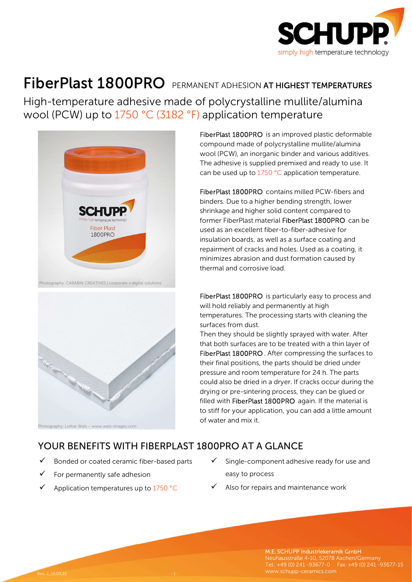

## FiberPlast 1800PRO PERMANENT ADHESION AT HIGHEST TEMPERATURES

High-temperature adhesive made of polycrystalline mullite/alumina wool (PCW) up to 1750 °C (3182 °F) application temperature





FiberPlast 1800PRO is an improved plastic deformable compound made of polycrystalline mullite/alumina wool (PCW), an inorganic binder and various additives. The adhesive is supplied premixed and ready to use. It can be used up to 1750 °C application temperature.

FiberPlast 1800PRO contains milled PCW-fibers and binders. Due to a higher bending strength, lower shrinkage and higher solid content compared to former FiberPlast material FiberPlast 1800PRO can be used as an excellent fiber-to-fiber-adhesive for insulation boards, as well as a surface coating and repairment of cracks and holes. Used as a coating, it minimizes abrasion and dust formation caused by thermal and corrosive load.

FiberPlast 1800PRO is particularly easy to process and will hold reliably and permanently at high temperatures. The processing starts with cleaning the surfaces from dust.

Then they should be slightly sprayed with water. After that both surfaces are to be treated with a thin layer of FiberPlast 1800PRO . After compressing the surfaces to their final positions, the parts should be dried under pressure and room temperature for 24 h. The parts could also be dried in a dryer. If cracks occur during the drying or pre-sintering process, they can be glued or filled with FiberPlast 1800PRO again. If the material is to stiff for your application, you can add a little amount of water and mix it.

## YOUR BENEFITS WITH FIBERPLAST 1800PRO AT A GLANCE

- Bonded or coated ceramic fiber-based parts
- For permanently safe adhesion
- $\checkmark$  Application temperatures up to 1750 °C
- Single-component adhesive ready for use and easy to process
- Also for repairs and maintenance work

M.E. SCHUPP Industriekeramik GmbH Neuhausstraße 4-10, 52078 Aachen/Germany Tel.: +49 (0) 241 -93677-0 Fax: +49 (0) 241 -93677-15 www.schupp-ceramics.com Rev. 2\_15.03.22 - 1 -